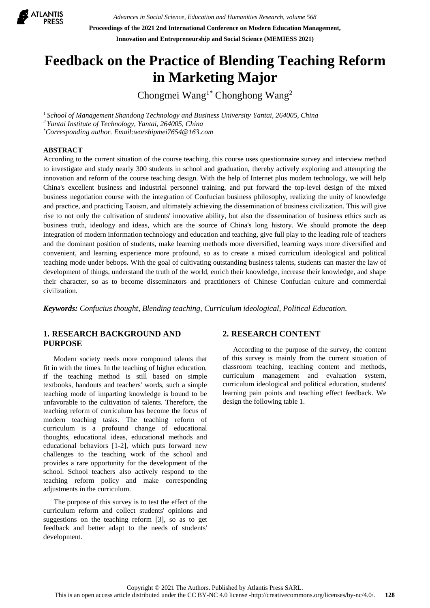

*Advances in Social Science, Education and Humanities Research, volume 568* **Proceedings of the 2021 2nd International Conference on Modern Education Management, Innovation and Entrepreneurship and Social Science (MEMIESS 2021)**

# **Feedback on the Practice of Blending Teaching Reform in Marketing Major**

Chongmei Wang<sup>1\*</sup> Chonghong Wang<sup>2</sup>

*<sup>1</sup> School of Management Shandong Technology and Business University Yantai, 264005, China <sup>2</sup> Yantai Institute of Technology, Yantai, 264005, China \*Corresponding author. Email:worshipmei7654@163.com*

# **ABSTRACT**

According to the current situation of the course teaching, this course uses questionnaire survey and interview method to investigate and study nearly 300 students in school and graduation, thereby actively exploring and attempting the innovation and reform of the course teaching design. With the help of Internet plus modern technology, we will help China's excellent business and industrial personnel training, and put forward the top-level design of the mixed business negotiation course with the integration of Confucian business philosophy, realizing the unity of knowledge and practice, and practicing Taoism, and ultimately achieving the dissemination of business civilization. This will give rise to not only the cultivation of students' innovative ability, but also the dissemination of business ethics such as business truth, ideology and ideas, which are the source of China's long history. We should promote the deep integration of modern information technology and education and teaching, give full play to the leading role of teachers and the dominant position of students, make learning methods more diversified, learning ways more diversified and convenient, and learning experience more profound, so as to create a mixed curriculum ideological and political teaching mode under bebops. With the goal of cultivating outstanding business talents, students can master the law of development of things, understand the truth of the world, enrich their knowledge, increase their knowledge, and shape their character, so as to become disseminators and practitioners of Chinese Confucian culture and commercial civilization.

*Keywords: Confucius thought, Blending teaching, Curriculum ideological, Political Education.*

# **1. RESEARCH BACKGROUND AND PURPOSE**

Modern society needs more compound talents that fit in with the times. In the teaching of higher education, if the teaching method is still based on simple textbooks, handouts and teachers' words, such a simple teaching mode of imparting knowledge is bound to be unfavorable to the cultivation of talents. Therefore, the teaching reform of curriculum has become the focus of modern teaching tasks. The teaching reform of curriculum is a profound change of educational thoughts, educational ideas, educational methods and educational behaviors [1-2], which puts forward new challenges to the teaching work of the school and provides a rare opportunity for the development of the school. School teachers also actively respond to the teaching reform policy and make corresponding adjustments in the curriculum.

The purpose of this survey is to test the effect of the curriculum reform and collect students' opinions and suggestions on the teaching reform [3], so as to get feedback and better adapt to the needs of students' development.

## **2. RESEARCH CONTENT**

According to the purpose of the survey, the content of this survey is mainly from the current situation of classroom teaching, teaching content and methods, curriculum management and evaluation system, curriculum ideological and political education, students' learning pain points and teaching effect feedback. We design the following table 1.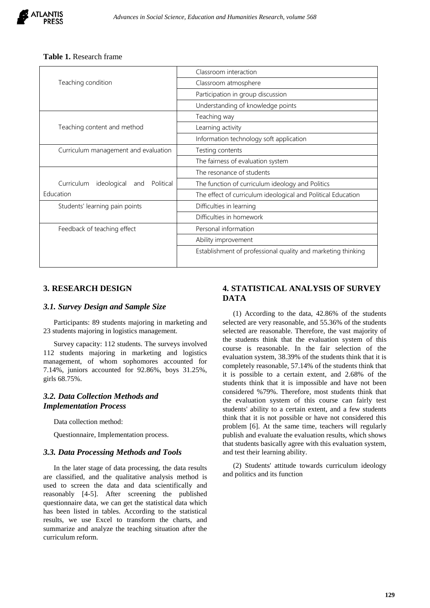# **Table 1.** Research frame

|                                               | Classroom interaction                                        |
|-----------------------------------------------|--------------------------------------------------------------|
| Teaching condition                            | Classroom atmosphere                                         |
|                                               | Participation in group discussion                            |
|                                               | Understanding of knowledge points                            |
|                                               | Teaching way                                                 |
| Teaching content and method                   | Learning activity                                            |
|                                               | Information technology soft application                      |
| Curriculum management and evaluation          | Testing contents                                             |
|                                               | The fairness of evaluation system                            |
|                                               | The resonance of students                                    |
| Curriculum<br>ideological<br>Political<br>and | The function of curriculum ideology and Politics             |
| Education                                     | The effect of curriculum ideological and Political Education |
| Students' learning pain points                | Difficulties in learning                                     |
|                                               | Difficulties in homework                                     |
| Feedback of teaching effect                   | Personal information                                         |
|                                               | Ability improvement                                          |
|                                               | Establishment of professional quality and marketing thinking |

# **3. RESEARCH DESIGN**

#### *3.1. Survey Design and Sample Size*

Participants: 89 students majoring in marketing and 23 students majoring in logistics management.

Survey capacity: 112 students. The surveys involved 112 students majoring in marketing and logistics management, of whom sophomores accounted for 7.14%, juniors accounted for 92.86%, boys 31.25%, girls 68.75%.

# *3.2. Data Collection Methods and Implementation Process*

Data collection method:

Questionnaire, Implementation process.

#### *3.3. Data Processing Methods and Tools*

In the later stage of data processing, the data results are classified, and the qualitative analysis method is used to screen the data and data scientifically and reasonably [4-5]. After screening the published questionnaire data, we can get the statistical data which has been listed in tables. According to the statistical results, we use Excel to transform the charts, and summarize and analyze the teaching situation after the curriculum reform.

# **4. STATISTICAL ANALYSIS OF SURVEY DATA**

(1) According to the data, 42.86% of the students selected are very reasonable, and 55.36% of the students selected are reasonable. Therefore, the vast majority of the students think that the evaluation system of this course is reasonable. In the fair selection of the evaluation system, 38.39% of the students think that it is completely reasonable, 57.14% of the students think that it is possible to a certain extent, and 2.68% of the students think that it is impossible and have not been considered %79%. Therefore, most students think that the evaluation system of this course can fairly test students' ability to a certain extent, and a few students think that it is not possible or have not considered this problem [6]. At the same time, teachers will regularly publish and evaluate the evaluation results, which shows that students basically agree with this evaluation system, and test their learning ability.

(2) Students' attitude towards curriculum ideology and politics and its function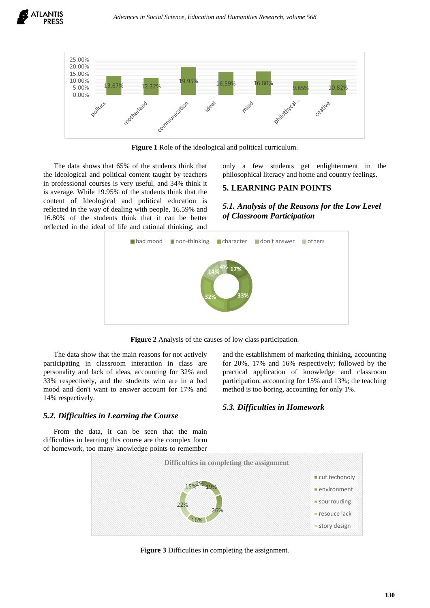

**Figure 1** Role of the ideological and political curriculum.

The data shows that 65% of the students think that the ideological and political content taught by teachers in professional courses is very useful, and 34% think it is average. While 19.95% of the students think that the content of Ideological and political education is reflected in the way of dealing with people, 16.59% and 16.80% of the students think that it can be better reflected in the ideal of life and rational thinking, and only a few students get enlightenment in the philosophical literacy and home and country feelings.

# **5. LEARNING PAIN POINTS**

*5.1. Analysis of the Reasons for the Low Level of Classroom Participation*



**Figure 2** Analysis of the causes of low class participation.

The data show that the main reasons for not actively participating in classroom interaction in class are personality and lack of ideas, accounting for 32% and 33% respectively, and the students who are in a bad mood and don't want to answer account for 17% and 14% respectively.

and the establishment of marketing thinking, accounting for 20%, 17% and 16% respectively; followed by the practical application of knowledge and classroom participation, accounting for 15% and 13%; the teaching method is too boring, accounting for only 1%.

#### *5.2. Difficulties in Learning the Course 5.3. Difficulties in Homework*

From the data, it can be seen that the main difficulties in learning this course are the complex form of homework, too many knowledge points to remember



**Figure 3** Difficulties in completing the assignment.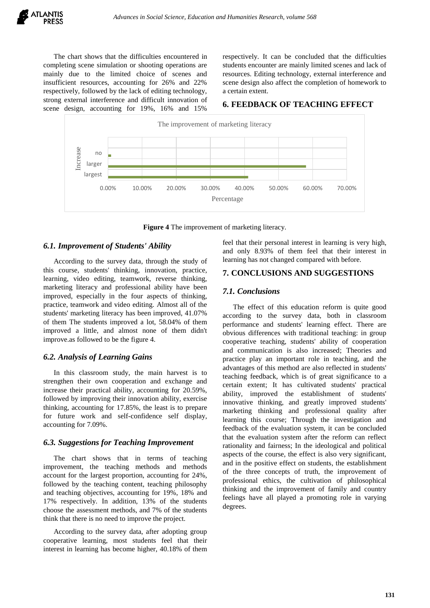The chart shows that the difficulties encountered in completing scene simulation or shooting operations are mainly due to the limited choice of scenes and insufficient resources, accounting for 26% and 22% respectively, followed by the lack of editing technology, strong external interference and difficult innovation of scene design, accounting for 19%, 16% and 15%

respectively. It can be concluded that the difficulties students encounter are mainly limited scenes and lack of resources. Editing technology, external interference and scene design also affect the completion of homework to a certain extent.

# **6. FEEDBACK OF TEACHING EFFECT**



**Figure 4** The improvement of marketing literacy.

# *6.1. Improvement of Students' Ability*

According to the survey data, through the study of this course, students' thinking, innovation, practice, learning, video editing, teamwork, reverse thinking, marketing literacy and professional ability have been improved, especially in the four aspects of thinking, practice, teamwork and video editing. Almost all of the students' marketing literacy has been improved, 41.07% of them The students improved a lot, 58.04% of them improved a little, and almost none of them didn't improve.as followed to be the figure 4.

## *6.2. Analysis of Learning Gains*

In this classroom study, the main harvest is to strengthen their own cooperation and exchange and increase their practical ability, accounting for 20.59%, followed by improving their innovation ability, exercise thinking, accounting for 17.85%, the least is to prepare for future work and self-confidence self display, accounting for 7.09%.

## *6.3. Suggestions for Teaching Improvement*

The chart shows that in terms of teaching improvement, the teaching methods and methods account for the largest proportion, accounting for 24%, followed by the teaching content, teaching philosophy and teaching objectives, accounting for 19%, 18% and 17% respectively. In addition, 13% of the students choose the assessment methods, and 7% of the students think that there is no need to improve the project.

According to the survey data, after adopting group cooperative learning, most students feel that their interest in learning has become higher, 40.18% of them feel that their personal interest in learning is very high, and only 8.93% of them feel that their interest in learning has not changed compared with before.

# **7. CONCLUSIONS AND SUGGESTIONS**

## *7.1. Conclusions*

The effect of this education reform is quite good according to the survey data, both in classroom performance and students' learning effect. There are obvious differences with traditional teaching: in group cooperative teaching, students' ability of cooperation and communication is also increased; Theories and practice play an important role in teaching, and the advantages of this method are also reflected in students' teaching feedback, which is of great significance to a certain extent; It has cultivated students' practical ability, improved the establishment of students' innovative thinking, and greatly improved students' marketing thinking and professional quality after learning this course; Through the investigation and feedback of the evaluation system, it can be concluded that the evaluation system after the reform can reflect rationality and fairness; In the ideological and political aspects of the course, the effect is also very significant, and in the positive effect on students, the establishment of the three concepts of truth, the improvement of professional ethics, the cultivation of philosophical thinking and the improvement of family and country feelings have all played a promoting role in varying degrees.